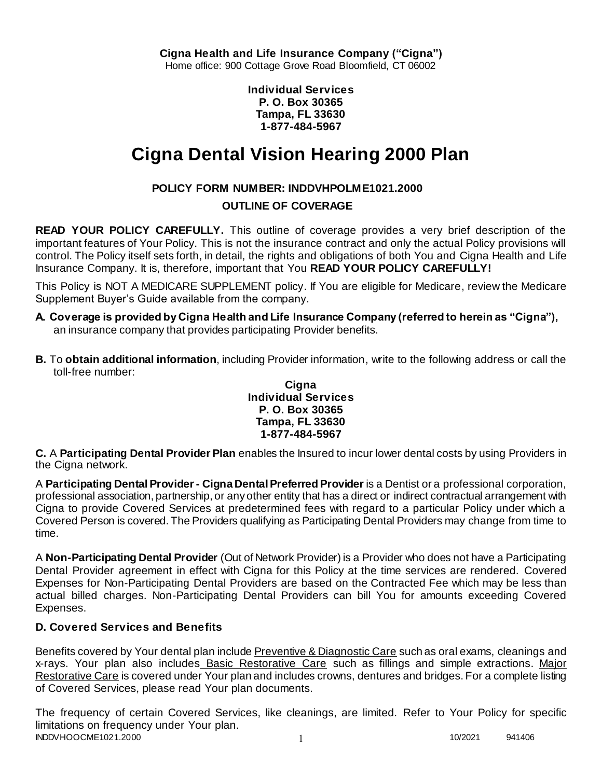**Individual Services P. O. Box 30365 Tampa, FL 33630 1-877-484-5967**

# **Cigna Dental Vision Hearing 2000 Plan**

# **POLICY FORM NUMBER: INDDVHPOLME1021.2000**

# **OUTLINE OF COVERAGE**

**READ YOUR POLICY CAREFULLY.** This outline of coverage provides a very brief description of the important features of Your Policy. This is not the insurance contract and only the actual Policy provisions will control. The Policy itself sets forth, in detail, the rights and obligations of both You and Cigna Health and Life Insurance Company. It is, therefore, important that You **READ YOUR POLICY CAREFULLY!** 

This Policy is NOT A MEDICARE SUPPLEMENT policy. If You are eligible for Medicare, review the Medicare Supplement Buyer's Guide available from the company.

- **A. Coverage is provided by Cigna Health and Life Insurance Company (referred to herein as "Cigna"),**  an insurance company that provides participating Provider benefits.
- **B.** To **obtain additional information**, including Provider information, write to the following address or call the toll-free number:

### **Cigna Individual Services P. O. Box 30365 Tampa, FL 33630 1-877-484-5967**

**C.** A **Participating Dental Provider Plan** enables the Insured to incur lower dental costs by using Providers in the Cigna network.

A **Participating Dental Provider - Cigna Dental Preferred Provider** is a Dentist or a professional corporation, professional association, partnership, or any other entity that has a direct or indirect contractual arrangement with Cigna to provide Covered Services at predetermined fees with regard to a particular Policy under which a Covered Person is covered. The Providers qualifying as Participating Dental Providers may change from time to time.

A **Non-Participating Dental Provider** (Out of Network Provider) is a Provider who does not have a Participating Dental Provider agreement in effect with Cigna for this Policy at the time services are rendered. Covered Expenses for Non-Participating Dental Providers are based on the Contracted Fee which may be less than actual billed charges. Non-Participating Dental Providers can bill You for amounts exceeding Covered Expenses.

# **D. Covered Services and Benefits**

Benefits covered by Your dental plan include Preventive & Diagnostic Care such as oral exams, cleanings and x-rays. Your plan also includes Basic Restorative Care such as fillings and simple extractions. Major Restorative Care is covered under Your plan and includes crowns, dentures and bridges. For a complete listing of Covered Services, please read Your plan documents.

INDDVHOOCME1021.2000 1 10/2021 941406 The frequency of certain Covered Services, like cleanings, are limited. Refer to Your Policy for specific limitations on frequency under Your plan.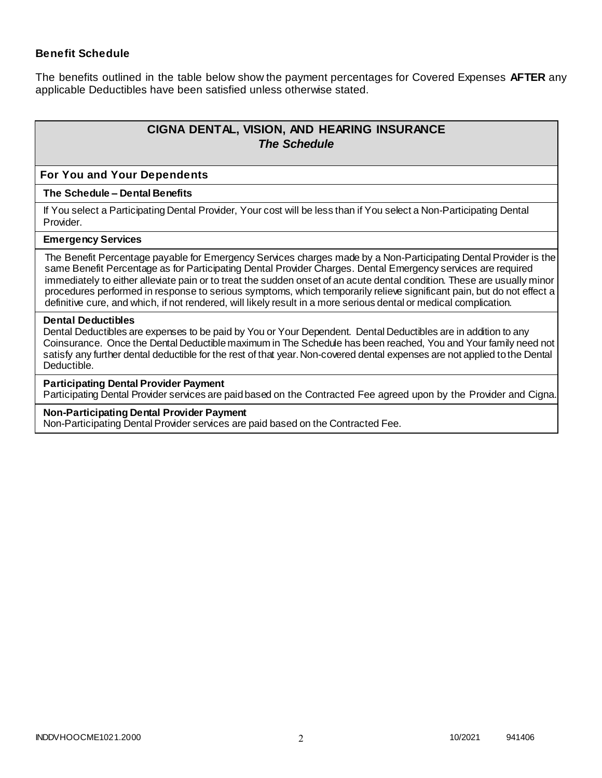### **Benefit Schedule**

The benefits outlined in the table below show the payment percentages for Covered Expenses **AFTER** any applicable Deductibles have been satisfied unless otherwise stated.

# **CIGNA DENTAL, VISION, AND HEARING INSURANCE** *The Schedule*

#### **For You and Your Dependents**

#### **The Schedule – Dental Benefits**

If You select a Participating Dental Provider, Your cost will be less than if You select a Non-Participating Dental Provider.

#### **Emergency Services**

The Benefit Percentage payable for Emergency Services charges made by a Non-Participating Dental Provider is the same Benefit Percentage as for Participating Dental Provider Charges. Dental Emergency services are required immediately to either alleviate pain or to treat the sudden onset of an acute dental condition. These are usually minor procedures performed in response to serious symptoms, which temporarily relieve significant pain, but do not effect a definitive cure, and which, if not rendered, will likely result in a more serious dental or medical complication.

#### **Dental Deductibles**

Dental Deductibles are expenses to be paid by You or Your Dependent. Dental Deductibles are in addition to any Coinsurance. Once the Dental Deductible maximum in The Schedule has been reached, You and Your family need not satisfy any further dental deductible for the rest of that year. Non-covered dental expenses are not applied to the Dental Deductible.

### **Participating Dental Provider Payment**

Participating Dental Provider services are paid based on the Contracted Fee agreed upon by the Provider and Cigna.

#### **Non-Participating Dental Provider Payment**

Non-Participating Dental Provider services are paid based on the Contracted Fee.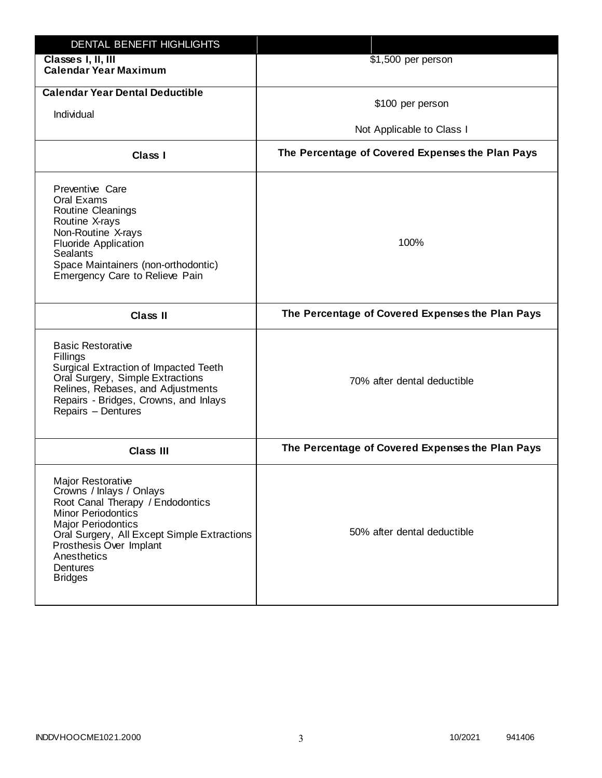| DENTAL BENEFIT HIGHLIGHTS                                                                                                                                                                                                                                                        |                                                  |
|----------------------------------------------------------------------------------------------------------------------------------------------------------------------------------------------------------------------------------------------------------------------------------|--------------------------------------------------|
| Classes I, II, III<br><b>Calendar Year Maximum</b>                                                                                                                                                                                                                               | \$1,500 per person                               |
| <b>Calendar Year Dental Deductible</b><br>Individual                                                                                                                                                                                                                             | \$100 per person<br>Not Applicable to Class I    |
| <b>Class I</b>                                                                                                                                                                                                                                                                   | The Percentage of Covered Expenses the Plan Pays |
| Preventive Care<br>Oral Exams<br>Routine Cleanings<br>Routine X-rays<br>Non-Routine X-rays<br><b>Fluoride Application</b><br><b>Sealants</b><br>Space Maintainers (non-orthodontic)<br>Emergency Care to Relieve Pain                                                            | 100%                                             |
| <b>Class II</b>                                                                                                                                                                                                                                                                  | The Percentage of Covered Expenses the Plan Pays |
| <b>Basic Restorative</b><br>Fillings<br>Surgical Extraction of Impacted Teeth<br>Oral Surgery, Simple Extractions<br>Relines, Rebases, and Adjustments<br>Repairs - Bridges, Crowns, and Inlays<br>Repairs - Dentures                                                            | 70% after dental deductible                      |
| <b>Class III</b>                                                                                                                                                                                                                                                                 | The Percentage of Covered Expenses the Plan Pays |
| <b>Major Restorative</b><br>Crowns / Inlays / Onlays<br>Root Canal Therapy / Endodontics<br><b>Minor Periodontics</b><br><b>Major Periodontics</b><br>Oral Surgery, All Except Simple Extractions<br>Prosthesis Over Implant<br>Anesthetics<br><b>Dentures</b><br><b>Bridges</b> | 50% after dental deductible                      |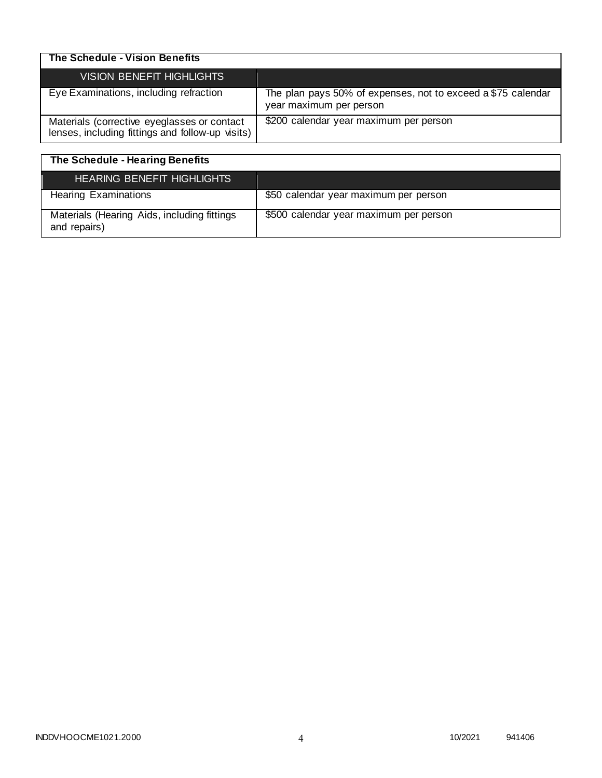| The Schedule - Vision Benefits                                                                  |                                                                                         |
|-------------------------------------------------------------------------------------------------|-----------------------------------------------------------------------------------------|
| VISION BENEFIT HIGHLIGHTS                                                                       |                                                                                         |
| Eye Examinations, including refraction                                                          | The plan pays 50% of expenses, not to exceed a \$75 calendar<br>year maximum per person |
| Materials (corrective eyeglasses or contact<br>lenses, including fittings and follow-up visits) | \$200 calendar year maximum per person                                                  |

| The Schedule - Hearing Benefits                             |                                        |
|-------------------------------------------------------------|----------------------------------------|
| <b>HEARING BENEFIT HIGHLIGHTS</b>                           |                                        |
| <b>Hearing Examinations</b>                                 | \$50 calendar year maximum per person  |
| Materials (Hearing Aids, including fittings<br>and repairs) | \$500 calendar year maximum per person |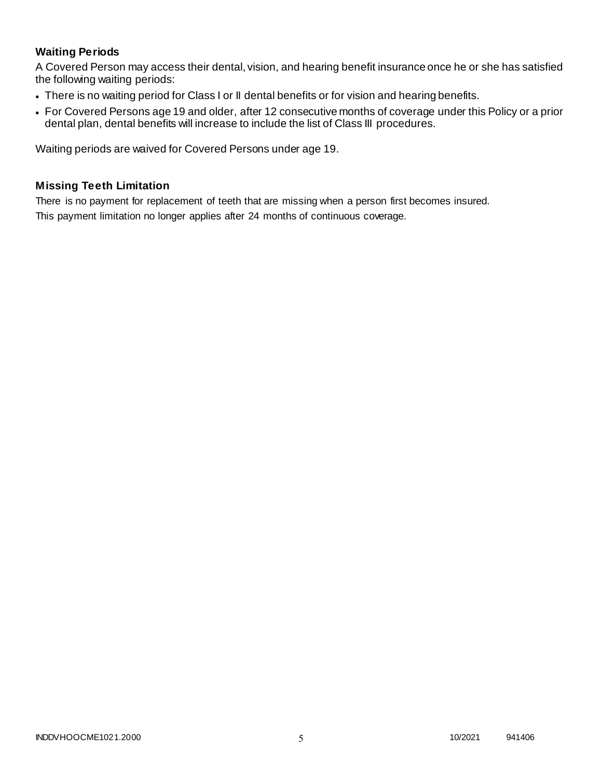# **Waiting Periods**

A Covered Person may access their dental, vision, and hearing benefit insurance once he or she has satisfied the following waiting periods:

- There is no waiting period for Class I or II dental benefits or for vision and hearing benefits.
- For Covered Persons age 19 and older, after 12 consecutive months of coverage under this Policy or a prior dental plan, dental benefits will increase to include the list of Class III procedures.

Waiting periods are waived for Covered Persons under age 19.

### **Missing Teeth Limitation**

There is no payment for replacement of teeth that are missing when a person first becomes insured. This payment limitation no longer applies after 24 months of continuous coverage.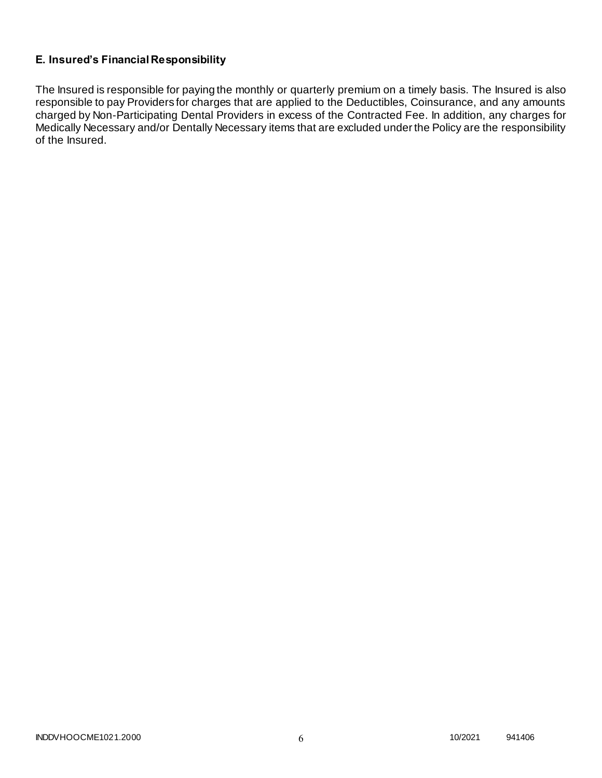# **E. Insured's Financial Responsibility**

The Insured is responsible for paying the monthly or quarterly premium on a timely basis. The Insured is also responsible to pay Providers for charges that are applied to the Deductibles, Coinsurance, and any amounts charged by Non-Participating Dental Providers in excess of the Contracted Fee. In addition, any charges for Medically Necessary and/or Dentally Necessary items that are excluded under the Policy are the responsibility of the Insured.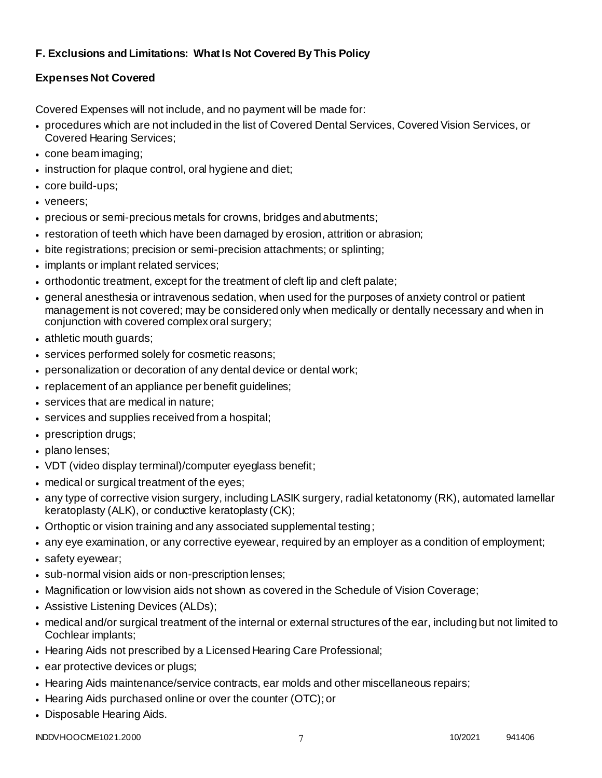# **F. Exclusions and Limitations: What Is Not Covered By This Policy**

# **Expenses Not Covered**

Covered Expenses will not include, and no payment will be made for:

- procedures which are not included in the list of Covered Dental Services, Covered Vision Services, or Covered Hearing Services;
- cone beam imaging;
- instruction for plaque control, oral hygiene and diet;
- core build-ups;
- veneers;
- precious or semi-precious metals for crowns, bridges and abutments;
- restoration of teeth which have been damaged by erosion, attrition or abrasion;
- bite registrations; precision or semi-precision attachments; or splinting;
- implants or implant related services;
- orthodontic treatment, except for the treatment of cleft lip and cleft palate;
- general anesthesia or intravenous sedation, when used for the purposes of anxiety control or patient management is not covered; may be considered only when medically or dentally necessary and when in conjunction with covered complex oral surgery;
- athletic mouth guards;
- services performed solely for cosmetic reasons;
- personalization or decoration of any dental device or dental work;
- replacement of an appliance per benefit guidelines;
- services that are medical in nature:
- services and supplies received from a hospital;
- prescription drugs;
- plano lenses:
- VDT (video display terminal)/computer eyeglass benefit;
- medical or surgical treatment of the eyes;
- any type of corrective vision surgery, including LASIK surgery, radial ketatonomy (RK), automated lamellar keratoplasty (ALK), or conductive keratoplasty (CK);
- Orthoptic or vision training and any associated supplemental testing;
- any eye examination, or any corrective eyewear, required by an employer as a condition of employment;
- safety eyewear;
- sub-normal vision aids or non-prescription lenses;
- Magnification or low vision aids not shown as covered in the Schedule of Vision Coverage;
- Assistive Listening Devices (ALDs);
- medical and/or surgical treatment of the internal or external structures of the ear, including but not limited to Cochlear implants;
- Hearing Aids not prescribed by a Licensed Hearing Care Professional;
- ear protective devices or plugs;
- Hearing Aids maintenance/service contracts, ear molds and other miscellaneous repairs;
- Hearing Aids purchased online or over the counter (OTC); or
- Disposable Hearing Aids.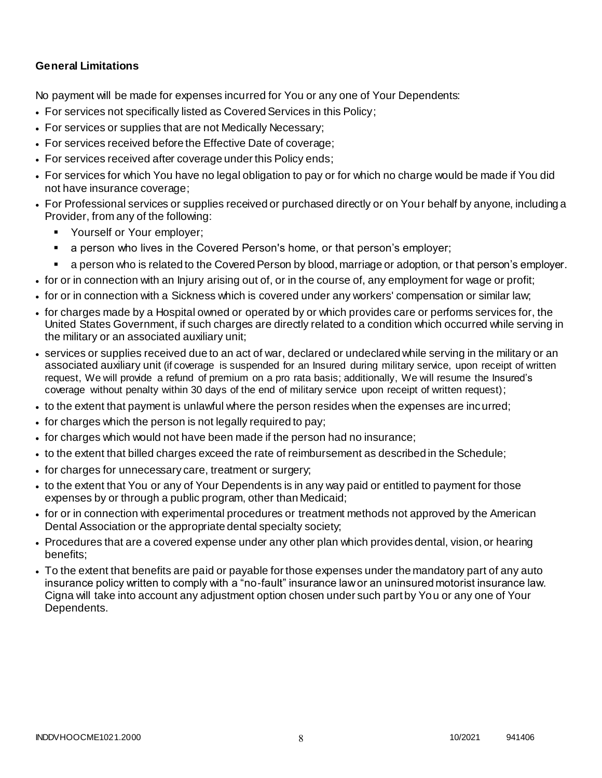# **General Limitations**

No payment will be made for expenses incurred for You or any one of Your Dependents:

- For services not specifically listed as Covered Services in this Policy;
- For services or supplies that are not Medically Necessary;
- For services received before the Effective Date of coverage;
- For services received after coverage under this Policy ends;
- For services for which You have no legal obligation to pay or for which no charge would be made if You did not have insurance coverage;
- For Professional services or supplies received or purchased directly or on Your behalf by anyone, including a Provider, from any of the following:
	- **Yourself or Your employer;**
	- a person who lives in the Covered Person's home, or that person's employer;
	- a person who is related to the Covered Person by blood, marriage or adoption, or that person's employer.
- for or in connection with an Injury arising out of, or in the course of, any employment for wage or profit;
- for or in connection with a Sickness which is covered under any workers' compensation or similar law;
- for charges made by a Hospital owned or operated by or which provides care or performs services for, the United States Government, if such charges are directly related to a condition which occurred while serving in the military or an associated auxiliary unit;
- services or supplies received due to an act of war, declared or undeclared while serving in the military or an associated auxiliary unit (if coverage is suspended for an Insured during military service, upon receipt of written request, We will provide a refund of premium on a pro rata basis; additionally, We will resume the Insured's coverage without penalty within 30 days of the end of military service upon receipt of written request);
- to the extent that payment is unlawful where the person resides when the expenses are incurred;
- for charges which the person is not legally required to pay;
- for charges which would not have been made if the person had no insurance;
- to the extent that billed charges exceed the rate of reimbursement as described in the Schedule;
- for charges for unnecessary care, treatment or surgery;
- to the extent that You or any of Your Dependents is in any way paid or entitled to payment for those expenses by or through a public program, other than Medicaid;
- for or in connection with experimental procedures or treatment methods not approved by the American Dental Association or the appropriate dental specialty society;
- Procedures that are a covered expense under any other plan which provides dental, vision, or hearing benefits;
- To the extent that benefits are paid or payable for those expenses under the mandatory part of any auto insurance policy written to comply with a "no-fault" insurance law or an uninsured motorist insurance law. Cigna will take into account any adjustment option chosen under such part by You or any one of Your Dependents.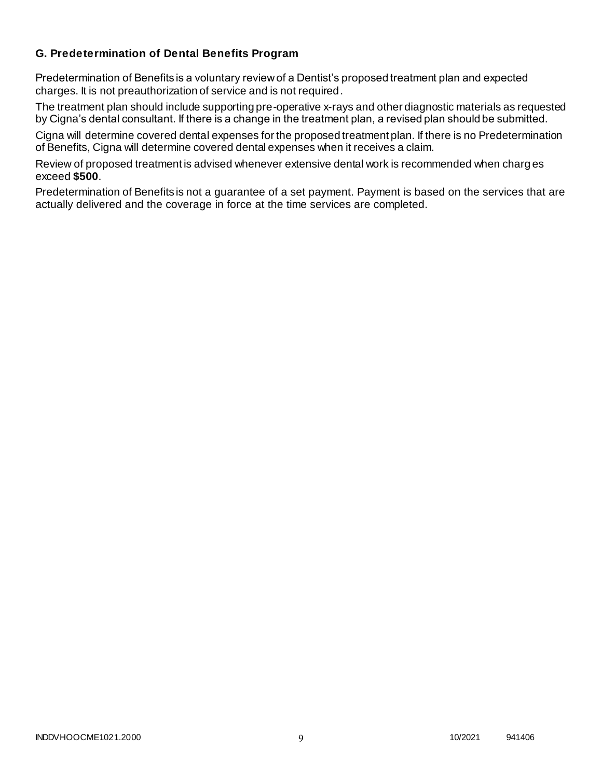### **G. Predetermination of Dental Benefits Program**

Predetermination of Benefits is a voluntary review of a Dentist's proposed treatment plan and expected charges. It is not preauthorization of service and is not required.

The treatment plan should include supporting pre-operative x-rays and other diagnostic materials as requested by Cigna's dental consultant. If there is a change in the treatment plan, a revised plan should be submitted.

Cigna will determine covered dental expenses for the proposed treatment plan. If there is no Predetermination of Benefits, Cigna will determine covered dental expenses when it receives a claim.

Review of proposed treatment is advised whenever extensive dental work is recommended when charg es exceed **\$500**.

Predetermination of Benefits is not a guarantee of a set payment. Payment is based on the services that are actually delivered and the coverage in force at the time services are completed.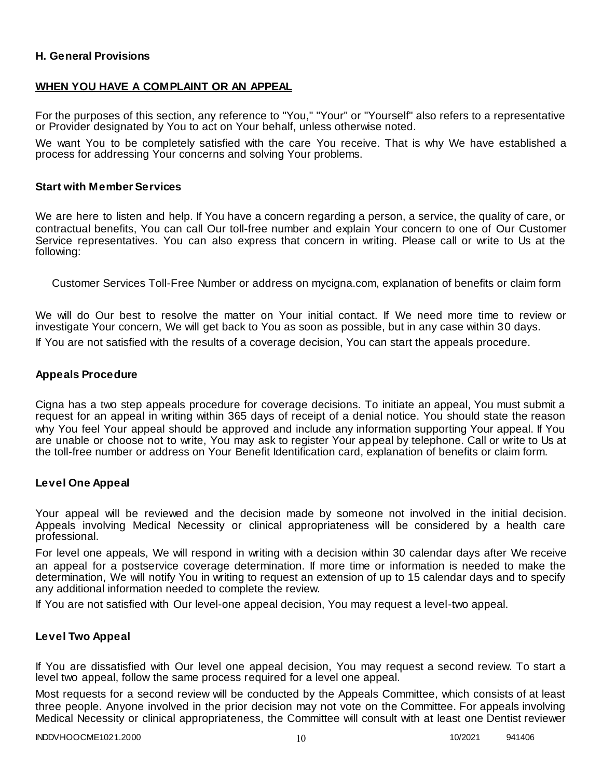### **H. General Provisions**

### **WHEN YOU HAVE A COMPLAINT OR AN APPEAL**

For the purposes of this section, any reference to "You," "Your" or "Yourself" also refers to a representative or Provider designated by You to act on Your behalf, unless otherwise noted.

We want You to be completely satisfied with the care You receive. That is why We have established a process for addressing Your concerns and solving Your problems.

#### **Start with Member Services**

We are here to listen and help. If You have a concern regarding a person, a service, the quality of care, or contractual benefits, You can call Our toll-free number and explain Your concern to one of Our Customer Service representatives. You can also express that concern in writing. Please call or write to Us at the following:

Customer Services Toll-Free Number or address on mycigna.com, explanation of benefits or claim form

We will do Our best to resolve the matter on Your initial contact. If We need more time to review or investigate Your concern, We will get back to You as soon as possible, but in any case within 30 days.

If You are not satisfied with the results of a coverage decision, You can start the appeals procedure.

#### **Appeals Procedure**

Cigna has a two step appeals procedure for coverage decisions. To initiate an appeal, You must submit a request for an appeal in writing within 365 days of receipt of a denial notice. You should state the reason why You feel Your appeal should be approved and include any information supporting Your appeal. If You are unable or choose not to write, You may ask to register Your appeal by telephone. Call or write to Us at the toll-free number or address on Your Benefit Identification card, explanation of benefits or claim form.

#### **Level One Appeal**

Your appeal will be reviewed and the decision made by someone not involved in the initial decision. Appeals involving Medical Necessity or clinical appropriateness will be considered by a health care professional.

For level one appeals, We will respond in writing with a decision within 30 calendar days after We receive an appeal for a postservice coverage determination. If more time or information is needed to make the determination, We will notify You in writing to request an extension of up to 15 calendar days and to specify any additional information needed to complete the review.

If You are not satisfied with Our level-one appeal decision, You may request a level-two appeal.

#### **Level Two Appeal**

If You are dissatisfied with Our level one appeal decision, You may request a second review. To start a level two appeal, follow the same process required for a level one appeal.

Most requests for a second review will be conducted by the Appeals Committee, which consists of at least three people. Anyone involved in the prior decision may not vote on the Committee. For appeals involving Medical Necessity or clinical appropriateness, the Committee will consult with at least one Dentist reviewer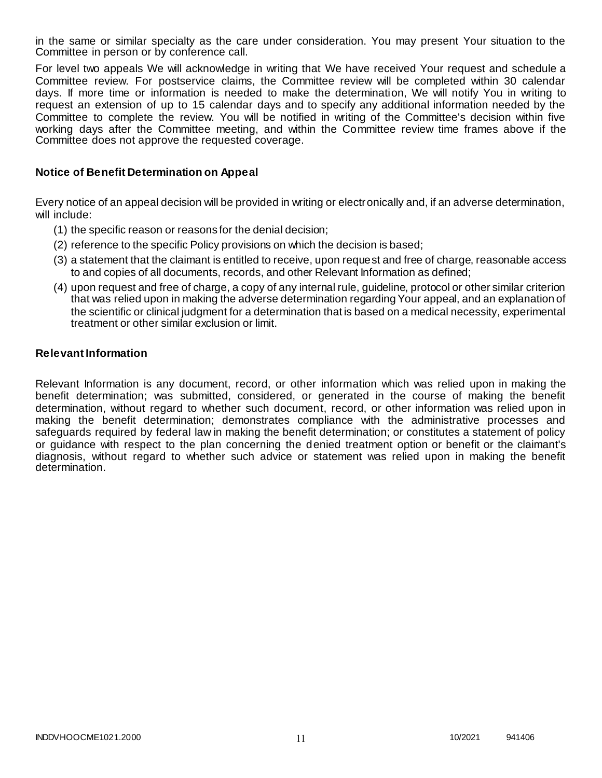in the same or similar specialty as the care under consideration. You may present Your situation to the Committee in person or by conference call.

For level two appeals We will acknowledge in writing that We have received Your request and schedule a Committee review. For postservice claims, the Committee review will be completed within 30 calendar days. If more time or information is needed to make the determination, We will notify You in writing to request an extension of up to 15 calendar days and to specify any additional information needed by the Committee to complete the review. You will be notified in writing of the Committee's decision within five working days after the Committee meeting, and within the Committee review time frames above if the Committee does not approve the requested coverage.

### **Notice of Benefit Determination on Appeal**

Every notice of an appeal decision will be provided in writing or electronically and, if an adverse determination, will include:

- (1) the specific reason or reasons for the denial decision;
- (2) reference to the specific Policy provisions on which the decision is based;
- (3) a statement that the claimant is entitled to receive, upon request and free of charge, reasonable access to and copies of all documents, records, and other Relevant Information as defined;
- (4) upon request and free of charge, a copy of any internal rule, guideline, protocol or other similar criterion that was relied upon in making the adverse determination regarding Your appeal, and an explanation of the scientific or clinical judgment for a determination that is based on a medical necessity, experimental treatment or other similar exclusion or limit.

#### **Relevant Information**

Relevant Information is any document, record, or other information which was relied upon in making the benefit determination; was submitted, considered, or generated in the course of making the benefit determination, without regard to whether such document, record, or other information was relied upon in making the benefit determination; demonstrates compliance with the administrative processes and safeguards required by federal law in making the benefit determination; or constitutes a statement of policy or guidance with respect to the plan concerning the denied treatment option or benefit or the claimant's diagnosis, without regard to whether such advice or statement was relied upon in making the benefit determination.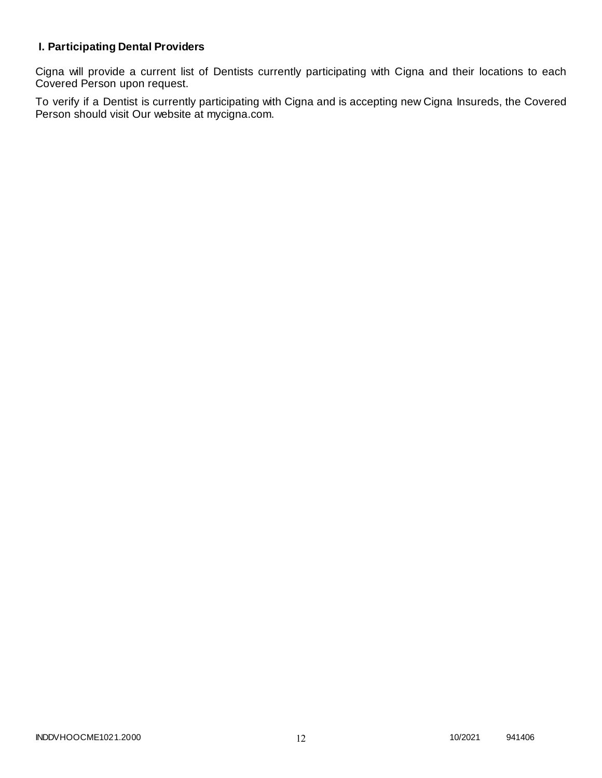# **I. Participating Dental Providers**

Cigna will provide a current list of Dentists currently participating with Cigna and their locations to each Covered Person upon request.

To verify if a Dentist is currently participating with Cigna and is accepting new Cigna Insureds, the Covered Person should visit Our website at mycigna.com.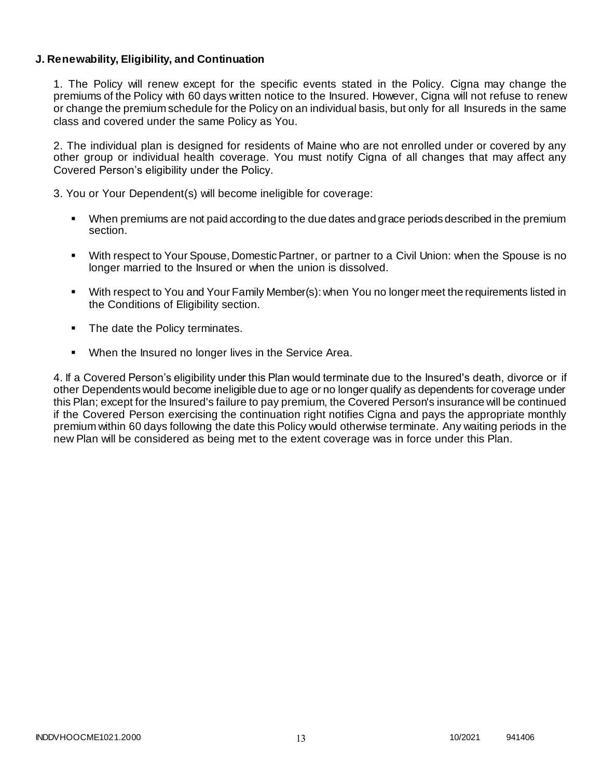### **J. Renewability, Eligibility, and Continuation**

1. The Policy will renew except for the specific events stated in the Policy. Cigna may change the premiums of the Policy with 60 days written notice to the Insured. However, Cigna will not refuse to renew or change the premium schedule for the Policy on an individual basis, but only for all Insureds in the same class and covered under the same Policy as You.

2. The individual plan is designed for residents of Maine who are not enrolled under or covered by any other group or individual health coverage. You must notify Cigna of all changes that may affect any Covered Person's eligibility under the Policy.

3. You or Your Dependent(s) will become ineligible for coverage:

- When premiums are not paid according to the due dates and grace periods described in the premium section.
- With respect to Your Spouse, Domestic Partner, or partner to a Civil Union: when the Spouse is no longer married to the Insured or when the union is dissolved.
- With respect to You and Your Family Member(s): when You no longer meet the requirements listed in the Conditions of Eligibility section.
- The date the Policy terminates.
- When the Insured no longer lives in the Service Area.

4. If a Covered Person's eligibility under this Plan would terminate due to the Insured's death, divorce or if other Dependents would become ineligible due to age or no longer qualify as dependents for coverage under this Plan; except for the Insured's failure to pay premium, the Covered Person's insurance will be continued if the Covered Person exercising the continuation right notifies Cigna and pays the appropriate monthly premium within 60 days following the date this Policy would otherwise terminate. Any waiting periods in the new Plan will be considered as being met to the extent coverage was in force under this Plan.